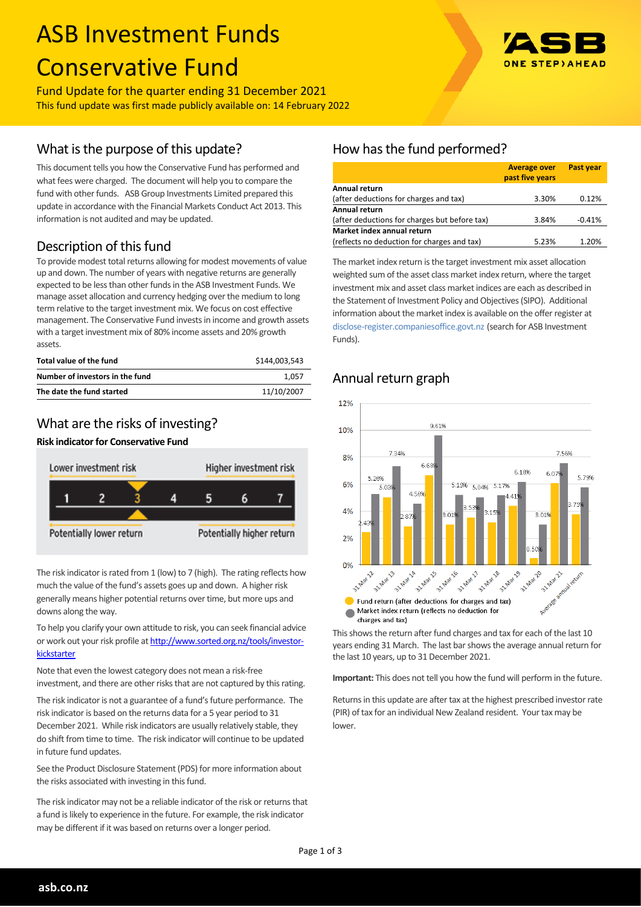# ASB Investment Funds Conservative Fund

Fund Update for the quarter ending 31 December 2021 This fund update was first made publicly available on: 14 February 2022

## What is the purpose of this update?

This document tells you how the Conservative Fund has performed and what fees were charged. The document will help you to compare the fund with other funds. ASB Group Investments Limited prepared this update in accordance with the Financial Markets Conduct Act 2013. This information is not audited and may be updated.

## Description of this fund

To provide modest total returns allowing for modest movements of value up and down. The number of years with negative returns are generally expected to be less than other funds in the ASB Investment Funds. We manage asset allocation and currency hedging over the medium to long term relative to the target investment mix. We focus on cost effective management. The Conservative Fund invests in income and growth assets with a target investment mix of 80% income assets and 20% growth assets.

| Total value of the fund         | \$144.003.543 |
|---------------------------------|---------------|
| Number of investors in the fund | 1.057         |
| The date the fund started       | 11/10/2007    |

## What are the risks of investing?

#### **Risk indicator for Conservative Fund**



The risk indicator is rated from 1 (low) to 7 (high). The rating reflects how much the value of the fund's assets goes up and down. A higher risk generally means higher potential returns over time, but more ups and downs along the way.

To help you clarify your own attitude to risk, you can seek financial advice or work out your risk profile at [http://www.sorted.org.nz/tools/investor](http://www.sorted.org.nz/tools/investor-kickstarter)**[kickstarter](http://www.sorted.org.nz/tools/investor-kickstarter)** 

Note that even the lowest category does not mean a risk-free investment, and there are other risks that are not captured by this rating.

The risk indicator is not a guarantee of a fund's future performance. The risk indicator is based on the returns data for a 5 year period to 31 December 2021. While risk indicators are usually relatively stable, they do shift from time to time. The risk indicator will continue to be updated in future fund updates.

See the Product Disclosure Statement (PDS) for more information about the risks associated with investing in this fund.

The risk indicator may not be a reliable indicator of the risk or returns that a fund is likely to experience in the future. For example, the risk indicator may be different if it was based on returns over a longer period.

# How has the fund performed?

|                                               | <b>Average over</b><br>past five years | <b>Past year</b> |
|-----------------------------------------------|----------------------------------------|------------------|
| Annual return                                 |                                        |                  |
| (after deductions for charges and tax)        | 3.30%                                  | 0.12%            |
| <b>Annual return</b>                          |                                        |                  |
| (after deductions for charges but before tax) | 3.84%                                  | $-0.41%$         |
| Market index annual return                    |                                        |                  |
| (reflects no deduction for charges and tax)   | 5.23%                                  | 1.20%            |

The market index return is the target investment mix asset allocation weighted sum of the asset class market index return, where the target investment mix and asset class market indices are each as described in the Statement of Investment Policy and Objectives (SIPO). Additional information about the market index is available on the offer register at [disclose-register.companiesoffice.govt.nz](http://www.business.govt.nz/disclose/) (search for ASB Investment Funds).

## Annual return graph



This shows the return after fund charges and tax for each of the last 10 years ending 31 March. The last bar shows the average annual return for the last 10 years, up to 31 December 2021.

**Important:** This does not tell you how the fund will perform in the future.

Returns in this update are after tax at the highest prescribed investor rate (PIR) of tax for an individual New Zealand resident. Your tax may be lower.

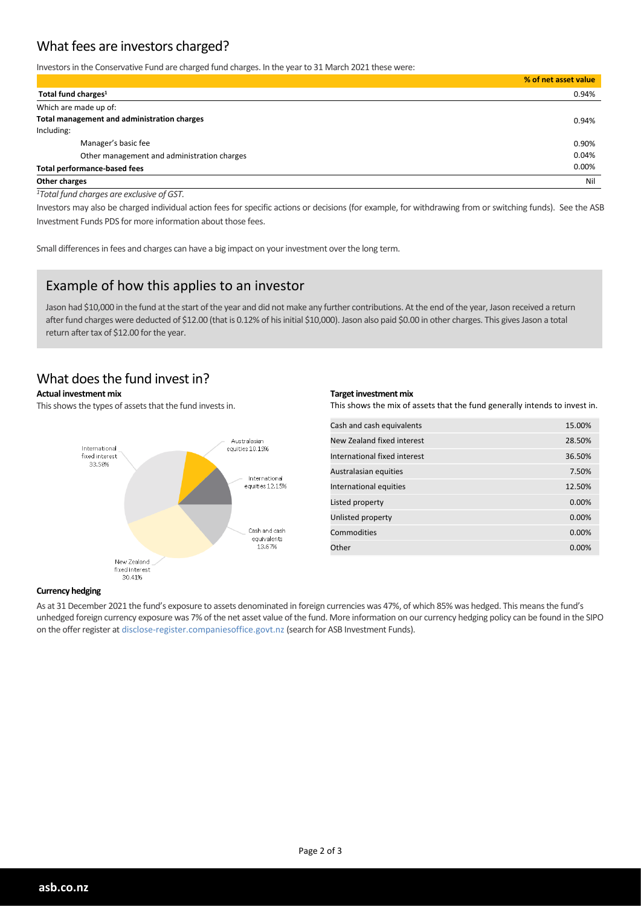## What fees are investors charged?

Investors in the Conservative Fund are charged fund charges. In the year to 31 March 2021 these were:

|                                             | % of net asset value |
|---------------------------------------------|----------------------|
| Total fund charges <sup>1</sup>             | 0.94%                |
| Which are made up of:                       |                      |
| Total management and administration charges | 0.94%                |
| Including:                                  |                      |
| Manager's basic fee                         | 0.90%                |
| Other management and administration charges | 0.04%                |
| <b>Total performance-based fees</b>         | 0.00%                |
| Other charges                               | Nil                  |

*<sup>1</sup>Total fund charges are exclusive of GST.*

Investors may also be charged individual action fees for specific actions or decisions (for example, for withdrawing from or switching funds). See the ASB Investment Funds PDS for more information about those fees.

Small differences in fees and charges can have a big impact on your investment over the long term.

## Example of how this applies to an investor

Jason had \$10,000 in the fund at the start of the year and did not make any further contributions. At the end of the year, Jason received a return after fund charges were deducted of \$12.00 (that is 0.12% of his initial \$10,000). Jason also paid \$0.00 in other charges. This gives Jason a total return after tax of \$12.00 for the year.

## What does the fund invest in?

#### **Actual investment mix**

This shows the types of assets that the fund invests in.



#### **Target investment mix**

This shows the mix of assets that the fund generally intends to invest in.

| Cash and cash equivalents    | 15.00% |
|------------------------------|--------|
| New Zealand fixed interest   | 28.50% |
| International fixed interest | 36.50% |
| Australasian equities        | 7.50%  |
| International equities       | 12.50% |
| Listed property              | 0.00%  |
| Unlisted property            | 0.00%  |
| Commodities                  | 0.00%  |
| Other                        | 0.00%  |

#### **Currency hedging**

As at 31 December 2021 the fund's exposure to assets denominated in foreign currencies was 47%, of which 85% was hedged. This means the fund's unhedged foreign currency exposure was 7% of the net asset value of the fund. More information on our currency hedging policy can be found in the SIPO on the offer register at disclose-register.companiesoffice.govt.nz (search for ASB Investment Funds).